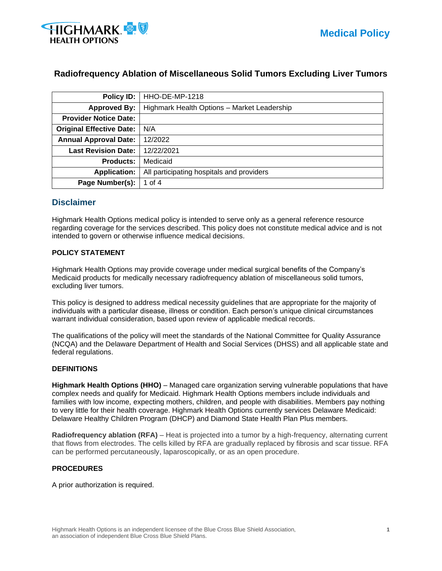



# **Radiofrequency Ablation of Miscellaneous Solid Tumors Excluding Liver Tumors**

| Policy ID:                      | HHO-DE-MP-1218                              |  |  |  |
|---------------------------------|---------------------------------------------|--|--|--|
| <b>Approved By:</b>             | Highmark Health Options - Market Leadership |  |  |  |
| <b>Provider Notice Date:</b>    |                                             |  |  |  |
| <b>Original Effective Date:</b> | N/A                                         |  |  |  |
| <b>Annual Approval Date:</b>    | 12/2022                                     |  |  |  |
| <b>Last Revision Date:</b>      | 12/22/2021                                  |  |  |  |
| <b>Products:</b>                | Medicaid                                    |  |  |  |
| <b>Application:</b>             | All participating hospitals and providers   |  |  |  |
| Page Number(s):                 | 1 of $4$                                    |  |  |  |

# **Disclaimer**

Highmark Health Options medical policy is intended to serve only as a general reference resource regarding coverage for the services described. This policy does not constitute medical advice and is not intended to govern or otherwise influence medical decisions.

### **POLICY STATEMENT**

Highmark Health Options may provide coverage under medical surgical benefits of the Company's Medicaid products for medically necessary radiofrequency ablation of miscellaneous solid tumors, excluding liver tumors.

This policy is designed to address medical necessity guidelines that are appropriate for the majority of individuals with a particular disease, illness or condition. Each person's unique clinical circumstances warrant individual consideration, based upon review of applicable medical records.

The qualifications of the policy will meet the standards of the National Committee for Quality Assurance (NCQA) and the Delaware Department of Health and Social Services (DHSS) and all applicable state and federal regulations.

### **DEFINITIONS**

**Highmark Health Options (HHO)** – Managed care organization serving vulnerable populations that have complex needs and qualify for Medicaid. Highmark Health Options members include individuals and families with low income, expecting mothers, children, and people with disabilities. Members pay nothing to very little for their health coverage. Highmark Health Options currently services Delaware Medicaid: Delaware Healthy Children Program (DHCP) and Diamond State Health Plan Plus members.

**Radiofrequency ablation (RFA)** – Heat is projected into a tumor by a high-frequency, alternating current that flows from electrodes. The cells killed by RFA are gradually replaced by fibrosis and scar tissue. RFA can be performed percutaneously, laparoscopically, or as an open procedure.

### **PROCEDURES**

A prior authorization is required.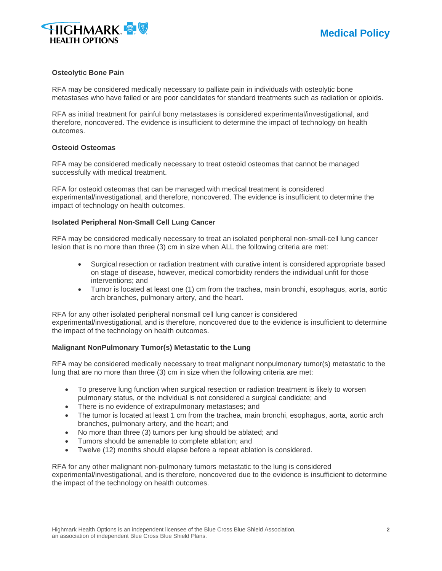

#### **Osteolytic Bone Pain**

RFA may be considered medically necessary to palliate pain in individuals with osteolytic bone metastases who have failed or are poor candidates for standard treatments such as radiation or opioids.

RFA as initial treatment for painful bony metastases is considered experimental/investigational, and therefore, noncovered. The evidence is insufficient to determine the impact of technology on health outcomes.

#### **Osteoid Osteomas**

RFA may be considered medically necessary to treat osteoid osteomas that cannot be managed successfully with medical treatment.

RFA for osteoid osteomas that can be managed with medical treatment is considered experimental/investigational, and therefore, noncovered. The evidence is insufficient to determine the impact of technology on health outcomes.

#### **Isolated Peripheral Non-Small Cell Lung Cancer**

RFA may be considered medically necessary to treat an isolated peripheral non-small-cell lung cancer lesion that is no more than three (3) cm in size when ALL the following criteria are met:

- Surgical resection or radiation treatment with curative intent is considered appropriate based on stage of disease, however, medical comorbidity renders the individual unfit for those interventions; and
- Tumor is located at least one (1) cm from the trachea, main bronchi, esophagus, aorta, aortic arch branches, pulmonary artery, and the heart.

RFA for any other isolated peripheral nonsmall cell lung cancer is considered experimental/investigational, and is therefore, noncovered due to the evidence is insufficient to determine the impact of the technology on health outcomes.

## **Malignant NonPulmonary Tumor(s) Metastatic to the Lung**

RFA may be considered medically necessary to treat malignant nonpulmonary tumor(s) metastatic to the lung that are no more than three (3) cm in size when the following criteria are met:

- To preserve lung function when surgical resection or radiation treatment is likely to worsen pulmonary status, or the individual is not considered a surgical candidate; and
- There is no evidence of extrapulmonary metastases; and
- The tumor is located at least 1 cm from the trachea, main bronchi, esophagus, aorta, aortic arch branches, pulmonary artery, and the heart; and
- No more than three (3) tumors per lung should be ablated; and
- Tumors should be amenable to complete ablation; and
- Twelve (12) months should elapse before a repeat ablation is considered.

RFA for any other malignant non-pulmonary tumors metastatic to the lung is considered experimental/investigational, and is therefore, noncovered due to the evidence is insufficient to determine the impact of the technology on health outcomes.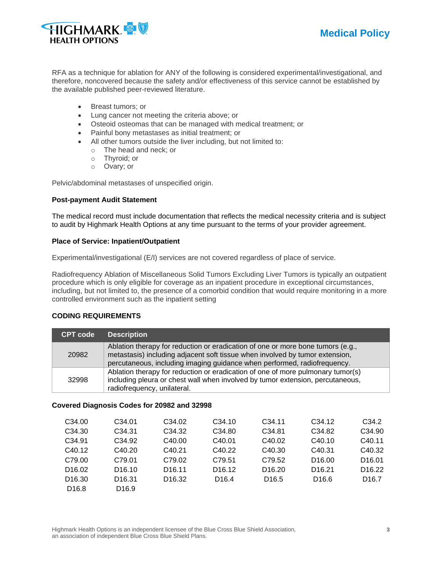

RFA as a technique for ablation for ANY of the following is considered experimental/investigational, and therefore, noncovered because the safety and/or effectiveness of this service cannot be established by the available published peer-reviewed literature.

- Breast tumors; or
- Lung cancer not meeting the criteria above; or
- Osteoid osteomas that can be managed with medical treatment; or
- Painful bony metastases as initial treatment; or
- All other tumors outside the liver including, but not limited to:
	- o The head and neck; or
	- o Thyroid; or
	- o Ovary; or

Pelvic/abdominal metastases of unspecified origin.

### **Post-payment Audit Statement**

The medical record must include documentation that reflects the medical necessity criteria and is subject to audit by Highmark Health Options at any time pursuant to the terms of your provider agreement.

### **Place of Service: Inpatient/Outpatient**

Experimental/investigational (E/I) services are not covered regardless of place of service.

Radiofrequency Ablation of Miscellaneous Solid Tumors Excluding Liver Tumors is typically an outpatient procedure which is only eligible for coverage as an inpatient procedure in exceptional circumstances, including, but not limited to, the presence of a comorbid condition that would require monitoring in a more controlled environment such as the inpatient setting

### **CODING REQUIREMENTS**

| <b>CPT code</b> | <b>Description</b>                                                                                                                                                                                                                          |
|-----------------|---------------------------------------------------------------------------------------------------------------------------------------------------------------------------------------------------------------------------------------------|
| 20982           | Ablation therapy for reduction or eradication of one or more bone tumors (e.g.,<br>metastasis) including adjacent soft tissue when involved by tumor extension,<br>percutaneous, including imaging guidance when performed, radiofrequency. |
| 32998           | Ablation therapy for reduction or eradication of one of more pulmonary tumor(s)<br>including pleura or chest wall when involved by tumor extension, percutaneous,<br>radiofrequency, unilateral.                                            |

### **Covered Diagnosis Codes for 20982 and 32998**

| C <sub>34.00</sub> | C <sub>34.01</sub> | C <sub>34.02</sub> | C <sub>34.10</sub> | C <sub>34.11</sub> | C <sub>34.12</sub> | C <sub>34.2</sub>  |
|--------------------|--------------------|--------------------|--------------------|--------------------|--------------------|--------------------|
| C34.30             | C34.31             | C <sub>34.32</sub> | C <sub>34.80</sub> | C34.81             | C34.82             | C <sub>34.90</sub> |
| C <sub>34.91</sub> | C <sub>34.92</sub> | C <sub>40.00</sub> | C <sub>40.01</sub> | C <sub>40.02</sub> | C <sub>40.10</sub> | C <sub>40.11</sub> |
| C <sub>40.12</sub> | C <sub>40.20</sub> | C <sub>40.21</sub> | C <sub>40.22</sub> | C <sub>40.30</sub> | C <sub>40.31</sub> | C <sub>40.32</sub> |
| C79.00             | C79.01             | C79.02             | C79.51             | C79.52             | D <sub>16.00</sub> | D <sub>16.01</sub> |
| D <sub>16.02</sub> | D <sub>16.10</sub> | D <sub>16.11</sub> | D <sub>16.12</sub> | D <sub>16.20</sub> | D <sub>16.21</sub> | D <sub>16.22</sub> |
| D <sub>16.30</sub> | D <sub>16.31</sub> | D <sub>16.32</sub> | D <sub>16.4</sub>  | D <sub>16.5</sub>  | D <sub>16.6</sub>  | D <sub>16.7</sub>  |
| D <sub>16.8</sub>  | D <sub>16.9</sub>  |                    |                    |                    |                    |                    |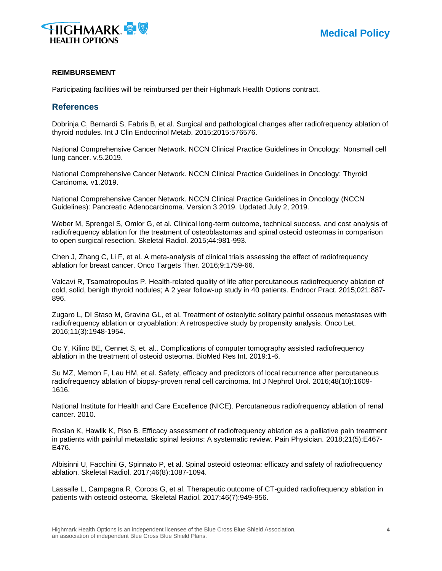

### **REIMBURSEMENT**

Participating facilities will be reimbursed per their Highmark Health Options contract.

## **References**

Dobrinja C, Bernardi S, Fabris B, et al. Surgical and pathological changes after radiofrequency ablation of thyroid nodules. Int J Clin Endocrinol Metab. 2015;2015:576576.

National Comprehensive Cancer Network. NCCN Clinical Practice Guidelines in Oncology: Nonsmall cell lung cancer. v.5.2019.

National Comprehensive Cancer Network. NCCN Clinical Practice Guidelines in Oncology: Thyroid Carcinoma. v1.2019.

National Comprehensive Cancer Network. NCCN Clinical Practice Guidelines in Oncology (NCCN Guidelines): Pancreatic Adenocarcinoma. Version 3.2019. Updated July 2, 2019.

Weber M, Sprengel S, Omlor G, et al. Clinical long-term outcome, technical success, and cost analysis of radiofrequency ablation for the treatment of osteoblastomas and spinal osteoid osteomas in comparison to open surgical resection. Skeletal Radiol. 2015;44:981-993.

Chen J, Zhang C, Li F, et al. A meta-analysis of clinical trials assessing the effect of radiofrequency ablation for breast cancer. Onco Targets Ther. 2016;9:1759-66.

Valcavi R, Tsamatropoulos P. Health-related quality of life after percutaneous radiofrequency ablation of cold, solid, benigh thyroid nodules; A 2 year follow-up study in 40 patients. Endrocr Pract. 2015;021:887- 896.

Zugaro L, DI Staso M, Gravina GL, et al. Treatment of osteolytic solitary painful osseous metastases with radiofrequency ablation or cryoablation: A retrospective study by propensity analysis. Onco Let. 2016;11(3):1948-1954.

Oc Y, Kilinc BE, Cennet S, et. al.. Complications of computer tomography assisted radiofrequency ablation in the treatment of osteoid osteoma. BioMed Res Int. 2019:1-6.

Su MZ, Memon F, Lau HM, et al. Safety, efficacy and predictors of local recurrence after percutaneous radiofrequency ablation of biopsy-proven renal cell carcinoma. Int J Nephrol Urol. 2016;48(10):1609- 1616.

National Institute for Health and Care Excellence (NICE). Percutaneous radiofrequency ablation of renal cancer. 2010.

Rosian K, Hawlik K, Piso B. Efficacy assessment of radiofrequency ablation as a palliative pain treatment in patients with painful metastatic spinal lesions: A systematic review. Pain Physician. 2018;21(5):E467- E476.

Albisinni U, Facchini G, Spinnato P, et al. Spinal osteoid osteoma: efficacy and safety of radiofrequency ablation. Skeletal Radiol. 2017;46(8):1087-1094.

Lassalle L, Campagna R, Corcos G, et al. Therapeutic outcome of CT-guided radiofrequency ablation in patients with osteoid osteoma. Skeletal Radiol. 2017;46(7):949-956.